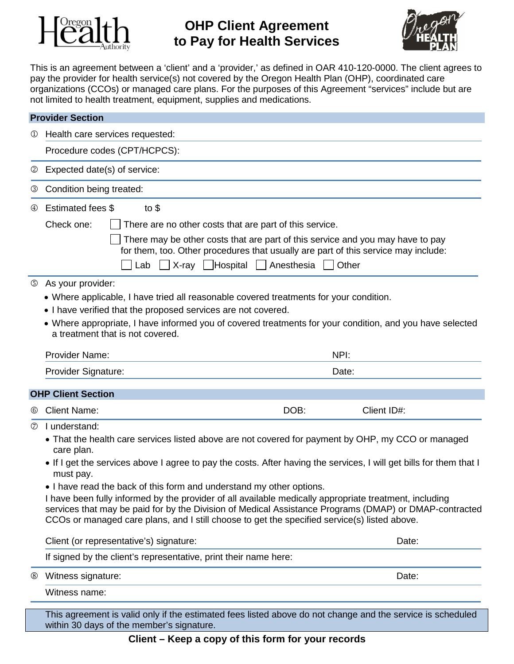

# **OHP Client Agreement to Pay for Health Services**



This is an agreement between a 'client' and a 'provider,' as defined in OAR 410-120-0000. The client agrees to pay the provider for health service(s) not covered by the Oregon Health Plan (OHP), coordinated care organizations (CCOs) or managed care plans. For the purposes of this Agreement "services" include but are not limited to health treatment, equipment, supplies and medications.

|                           | <b>Provider Section</b>                                                                                                                                                                                |
|---------------------------|--------------------------------------------------------------------------------------------------------------------------------------------------------------------------------------------------------|
| $\omega$                  | Health care services requested:                                                                                                                                                                        |
|                           | Procedure codes (CPT/HCPCS):                                                                                                                                                                           |
| ②                         | Expected date(s) of service:                                                                                                                                                                           |
| 3                         | Condition being treated:                                                                                                                                                                               |
| $\circled{4}$             | Estimated fees \$<br>to $$$                                                                                                                                                                            |
|                           | Check one:<br>There are no other costs that are part of this service.                                                                                                                                  |
|                           | There may be other costs that are part of this service and you may have to pay<br>for them, too. Other procedures that usually are part of this service may include:                                   |
|                           | Lab $\Box$ X-ray $\Box$ Hospital $\Box$ Anesthesia<br>Other                                                                                                                                            |
| G)                        | As your provider:                                                                                                                                                                                      |
|                           | • Where applicable, I have tried all reasonable covered treatments for your condition.                                                                                                                 |
|                           | • I have verified that the proposed services are not covered.                                                                                                                                          |
|                           | • Where appropriate, I have informed you of covered treatments for your condition, and you have selected<br>a treatment that is not covered.                                                           |
|                           | <b>Provider Name:</b><br>NPI:                                                                                                                                                                          |
|                           | Provider Signature:<br>Date:                                                                                                                                                                           |
| <b>OHP Client Section</b> |                                                                                                                                                                                                        |
| $\circledcirc$            | <b>Client Name:</b><br>DOB:<br>Client ID#:                                                                                                                                                             |
| $\circled7$               | I understand:                                                                                                                                                                                          |
|                           | • That the health care services listed above are not covered for payment by OHP, my CCO or managed<br>care plan.                                                                                       |
|                           | • If I get the services above I agree to pay the costs. After having the services, I will get bills for them that I<br>must pay.                                                                       |
|                           | . I have read the back of this form and understand my other options.                                                                                                                                   |
|                           | I have been fully informed by the provider of all available medically appropriate treatment, including                                                                                                 |
|                           | services that may be paid for by the Division of Medical Assistance Programs (DMAP) or DMAP-contracted<br>CCOs or managed care plans, and I still choose to get the specified service(s) listed above. |
|                           | Client (or representative's) signature:<br>Date:                                                                                                                                                       |
|                           | If signed by the client's representative, print their name here:                                                                                                                                       |
| $\circledS$               | Witness signature:<br>Date:                                                                                                                                                                            |
|                           | Witness name:                                                                                                                                                                                          |

This agreement is valid only if the estimated fees listed above do not change and the service is scheduled within 30 days of the member's signature.